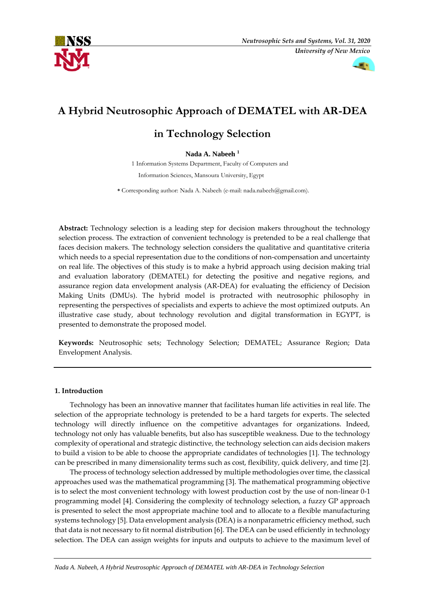



# **A Hybrid Neutrosophic Approach of DEMATEL with AR-DEA**

# **in Technology Selection**

# **Nada A. Nabeeh <sup>1</sup>**

 1 Information Systems Department, Faculty of Computers and Information Sciences, Mansoura University, Egypt

 **\*** Corresponding author: Nada A. Nabeeh (e-mail: nada.nabeeh@gmail.com).

**Abstract:** Technology selection is a leading step for decision makers throughout the technology selection process. The extraction of convenient technology is pretended to be a real challenge that faces decision makers. The technology selection considers the qualitative and quantitative criteria which needs to a special representation due to the conditions of non-compensation and uncertainty on real life. The objectives of this study is to make a hybrid approach using decision making trial and evaluation laboratory (DEMATEL) for detecting the positive and negative regions, and assurance region data envelopment analysis (AR-DEA) for evaluating the efficiency of Decision Making Units (DMUs). The hybrid model is protracted with neutrosophic philosophy in representing the perspectives of specialists and experts to achieve the most optimized outputs. An illustrative case study, about technology revolution and digital transformation in EGYPT, is presented to demonstrate the proposed model.

**Keywords:** Neutrosophic sets; Technology Selection; DEMATEL; Assurance Region; Data Envelopment Analysis.

## **1. Introduction**

Technology has been an innovative manner that facilitates human life activities in real life. The selection of the appropriate technology is pretended to be a hard targets for experts. The selected technology will directly influence on the competitive advantages for organizations. Indeed, technology not only has valuable benefits, but also has susceptible weakness. Due to the technology complexity of operational and strategic distinctive, the technology selection can aids decision makers to build a vision to be able to choose the appropriate candidates of technologies [1]. The technology can be prescribed in many dimensionality terms such as cost, flexibility, quick delivery, and time [2].

The process of technology selection addressed by multiple methodologies over time, the classical approaches used was the mathematical programming [3]. The mathematical programming objective is to select the most convenient technology with lowest production cost by the use of non-linear 0-1 programming model [4]. Considering the complexity of technology selection, a fuzzy GP approach is presented to select the most appropriate machine tool and to allocate to a flexible manufacturing systems technology [5]. Data envelopment analysis (DEA) is a nonparametric efficiency method, such that data is not necessary to fit normal distribution [6]. The DEA can be used efficiently in technology selection. The DEA can assign weights for inputs and outputs to achieve to the maximum level of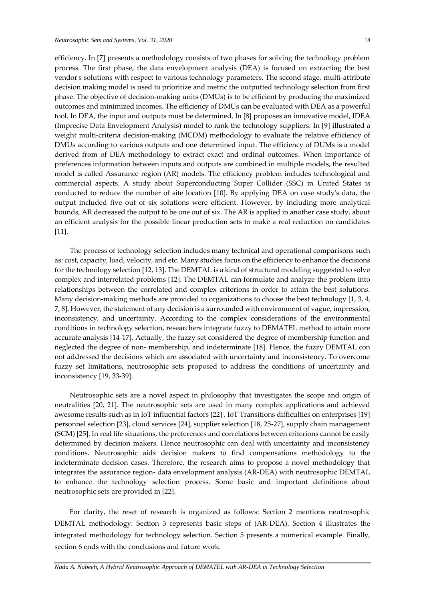efficiency. In [7] presents a methodology consists of two phases for solving the technology problem process. The first phase, the data envelopment analysis (DEA) is focused on extracting the best vendor's solutions with respect to various technology parameters. The second stage, multi-attribute decision making model is used to prioritize and metric the outputted technology selection from first phase. The objective of decision-making units (DMUs) is to be efficient by producing the maximized outcomes and minimized incomes. The efficiency of DMUs can be evaluated with DEA as a powerful tool. In DEA, the input and outputs must be determined. In [8] proposes an innovative model, IDEA (Imprecise Data Envelopment Analysis) model to rank the technology suppliers. In [9] illustrated a weight multi-criteria decision-making (MCDM) methodology to evaluate the relative efficiency of DMUs according to various outputs and one determined input. The efficiency of DUMs is a model derived from of DEA methodology to extract exact and ordinal outcomes. When importance of preferences information between inputs and outputs are combined in multiple models, the resulted model is called Assurance region (AR) models. The efficiency problem includes technological and commercial aspects. A study about Superconducting Super Collider (SSC) in United States is conducted to reduce the number of site location [10]. By applying DEA on case study's data, the output included five out of six solutions were efficient. However, by including more analytical bounds, AR decreased the output to be one out of six. The AR is applied in another case study, about an efficient analysis for the possible linear production sets to make a real reduction on candidates [11].

The process of technology selection includes many technical and operational comparisons such as: cost, capacity, load, velocity, and etc. Many studies focus on the efficiency to enhance the decisions for the technology selection [12, 13]. The DEMTAL is a kind of structural modeling suggested to solve complex and interrelated problems [12]. The DEMTAL can formulate and analyze the problem into relationships between the correlated and complex criterions in order to attain the best solutions. Many decision-making methods are provided to organizations to choose the best technology [1, 3, 4, 7, 8]. However, the statement of any decision is a surrounded with environment of vague, impression, inconsistency, and uncertainty. According to the complex considerations of the environmental conditions in technology selection, researchers integrate fuzzy to DEMATEL method to attain more accurate analysis [14-17]. Actually, the fuzzy set considered the degree of membership function and neglected the degree of non- membership, and indeterminate [18]. Hence, the fuzzy DEMTAL con not addressed the decisions which are associated with uncertainty and inconsistency. To overcome fuzzy set limitations, neutrosophic sets proposed to address the conditions of uncertainty and inconsistency [19, 33-39].

Neutrosophic sets are a novel aspect in philosophy that investigates the scope and origin of neutralities [20, 21]. The neutrosophic sets are used in many complex applications and achieved awesome results such as in IoT influential factors [22] , IoT Transitions difficulties on enterprises [19] personnel selection [23], cloud services [24], supplier selection [18, 25-27], supply chain management (SCM) [25]. In real life situations, the preferences and correlations between criterions cannot be easily determined by decision makers. Hence neutrosophic can deal with uncertainty and inconsistency conditions. Neutrosophic aids decision makers to find compensations methodology to the indeterminate decision cases. Therefore, the research aims to propose a novel methodology that integrates the assurance region- data envelopment analysis (AR-DEA) with neutrosophic DEMTAL to enhance the technology selection process. Some basic and important definitions about neutrosophic sets are provided in [22].

For clarity, the reset of research is organized as follows: Section 2 mentions neutrosophic DEMTAL methodology. Section 3 represents basic steps of (AR-DEA). Section 4 illustrates the integrated methodology for technology selection. Section 5 presents a numerical example. Finally, section 6 ends with the conclusions and future work.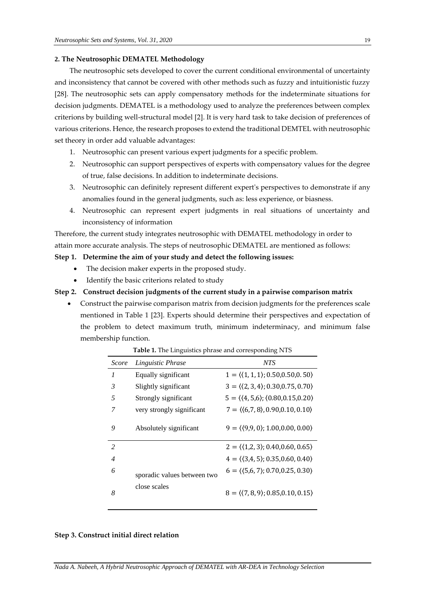#### **2. The Neutrosophic DEMATEL Methodology**

The neutrosophic sets developed to cover the current conditional environmental of uncertainty and inconsistency that cannot be covered with other methods such as fuzzy and intuitionistic fuzzy [28]. The neutrosophic sets can apply compensatory methods for the indeterminate situations for decision judgments. DEMATEL is a methodology used to analyze the preferences between complex criterions by building well-structural model [2]. It is very hard task to take decision of preferences of various criterions. Hence, the research proposes to extend the traditional DEMTEL with neutrosophic set theory in order add valuable advantages:

- 1. Neutrosophic can present various expert judgments for a specific problem.
- 2. Neutrosophic can support perspectives of experts with compensatory values for the degree of true, false decisions. In addition to indeterminate decisions.
- 3. Neutrosophic can definitely represent different expert's perspectives to demonstrate if any anomalies found in the general judgments, such as: less experience, or biasness.
- 4. Neutrosophic can represent expert judgments in real situations of uncertainty and inconsistency of information

Therefore, the current study integrates neutrosophic with DEMATEL methodology in order to attain more accurate analysis. The steps of neutrosophic DEMATEL are mentioned as follows:

#### **Step 1. Determine the aim of your study and detect the following issues:**

- The decision maker experts in the proposed study.
- Identify the basic criterions related to study
- **Step 2. Construct decision judgments of the current study in a pairwise comparison matrix** 
	- Construct the pairwise comparison matrix from decision judgments for the preferences scale mentioned in Table 1 [23]. Experts should determine their perspectives and expectation of the problem to detect maximum truth, minimum indeterminacy, and minimum false membership function.

| Score          | Linguistic Phrase           | <b>NTS</b>                                                 |
|----------------|-----------------------------|------------------------------------------------------------|
| 1              | Equally significant         | $1 = \langle (1, 1, 1), 0.50, 0.50, 0.50 \rangle$          |
| 3              | Slightly significant        | $3 = \langle 2, 3, 4 \rangle$ ; 0.30, 0.75, 0.70 $\rangle$ |
| 5              | Strongly significant        | $5 = \langle (4, 5, 6); (0.80, 0.15, 0.20) \rangle$        |
| 7              | very strongly significant   | $7 = \langle (6.7, 8), 0.90, 0.10, 0.10 \rangle$           |
| 9              | Absolutely significant      | $9 = \langle (9,9,0); 1.00,0.00,0.00 \rangle$              |
| 2              |                             | $2 = \langle (1,2,3); 0.40, 0.60, 0.65 \rangle$            |
| $\overline{4}$ |                             | $4 = \langle (3,4,5), 0.35, 0.60, 0.40 \rangle$            |
| 6              | sporadic values between two | $6 = \langle (5,6,7); 0.70, 0.25, 0.30 \rangle$            |
| 8              | close scales                | $8 = \langle 7, 8, 9 \rangle$ ; 0.85, 0.10, 0.15 $\rangle$ |

**Table 1.** The Linguistics phrase and corresponding NTS

#### **Step 3. Construct initial direct relation**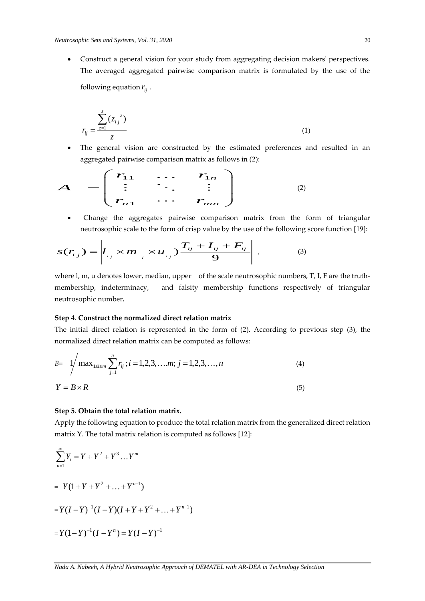• Construct a general vision for your study from aggregating decision makers' perspectives. The averaged aggregated pairwise comparison matrix is formulated by the use of the following equation  $r_{ij}$  .

$$
r_{ij} = \frac{\sum_{z=1}^{z} (z_{ij}^{z})}{z}
$$
 (1)

The general vision are constructed by the estimated preferences and resulted in an aggregated pairwise comparison matrix as follows in (2):

$$
A = \begin{pmatrix} r_{11} & \cdots & r_{1n} \\ \vdots & \ddots & \vdots \\ r_{n1} & \cdots & r_{mn} \end{pmatrix} \tag{2}
$$

• Change the aggregates pairwise comparison matrix from the form of triangular neutrosophic scale to the form of crisp value by the use of the following score function [19]:

$$
s(r_{ij}) = \left| l_{ij} \times m_{j} \times u_{ij} \right| \frac{T_{ij} + I_{ij} + F_{ij}}{9} \right| , \qquad (3)
$$

where l, m, u denotes lower, median, upper of the scale neutrosophic numbers, T, I, F are the truthmembership, indeterminacy, and falsity membership functions respectively of triangular neutrosophic number**.**

## **Step 4**. **Construct the normalized direct relation matrix**

The initial direct relation is represented in the form of (2). According to previous step (3), the normalized direct relation matrix can be computed as follows:

$$
B = \sqrt{\max_{1 \le i \le m} \sum_{j=1}^{n} r_{ij}}; i = 1, 2, 3, \dots, m; j = 1, 2, 3, \dots, n
$$
\n
$$
Y = B \times R
$$
\n(4)

### **Step 5**. **Obtain the total relation matrix.**

Apply the following equation to produce the total relation matrix from the generalized direct relation matrix Y. The total matrix relation is computed as follows [12]:

$$
\sum_{n=1}^{\infty} Y_i = Y + Y^2 + Y^3 \dots Y^m
$$
  
=  $Y(1+Y+Y^2 + \dots + Y^{n-1})$   
=  $Y(I-Y)^{-1}(I-Y)(I+Y+Y^2 + \dots + Y^{n-1})$   
=  $Y(1-Y)^{-1}(I-Y^n) = Y(I-Y)^{-1}$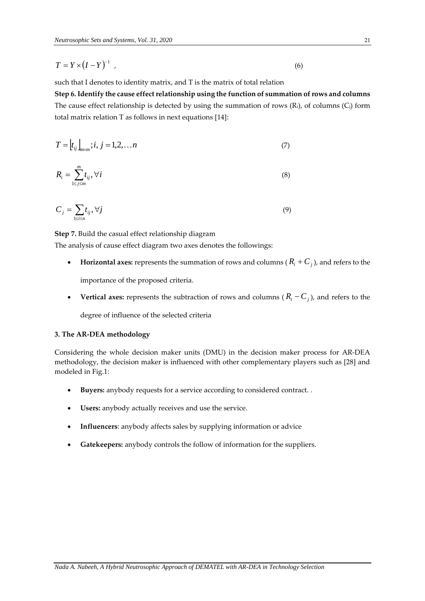$$
T = Y \times (I - Y)^{-1} \tag{6}
$$

such that I denotes to identity matrix, and T is the matrix of total relation

 $T = Y \times (I - Y)^{-1}$ ,<br>  $\angle$ <br>  $\angle$  such the I decouts to leberlity motits, and I is the matrix of total relation<br>  $\angle$  Step 6. Identify the cause effect relationship using the function of summation of rows<br>
The cause effect rel **Step 6. Identify the cause effect relationship using the function of summation of rows and columns** The cause effect relationship is detected by using the summation of rows  $(R_i)$ , of columns  $(C_i)$  form total matrix relation T as follows in next equations [14]:

$$
T = [t_{ij}]_{m \times m}; i, j = 1, 2, \dots n
$$
 (7)

$$
R_i = \sum_{1 \le j \le m}^{m} t_{ij}, \forall i
$$
 (8)

$$
C_j = \sum_{1 \le i \le n} t_{ij}, \forall j \tag{9}
$$

**Step 7.** Build the casual effect relationship diagram

The analysis of cause effect diagram two axes denotes the followings:

- **Horizontal axes:** represents the summation of rows and columns ( $R_i + C_j$ ), and refers to the importance of the proposed criteria.
- **Vertical axes:** represents the subtraction of rows and columns ( $R_i C_j$ ), and refers to the

degree of influence of the selected criteria

## **3. The AR-DEA methodology**

Considering the whole decision maker units (DMU) in the decision maker process for AR-DEA methodology, the decision maker is influenced with other complementary players such as [28] and modeled in Fig.1:

- **Buyers:** anybody requests for a service according to considered contract. .
- Users: anybody actually receives and use the service.
- **Influencers**: anybody affects sales by supplying information or advice
- **Gatekeepers:** anybody controls the follow of information for the suppliers.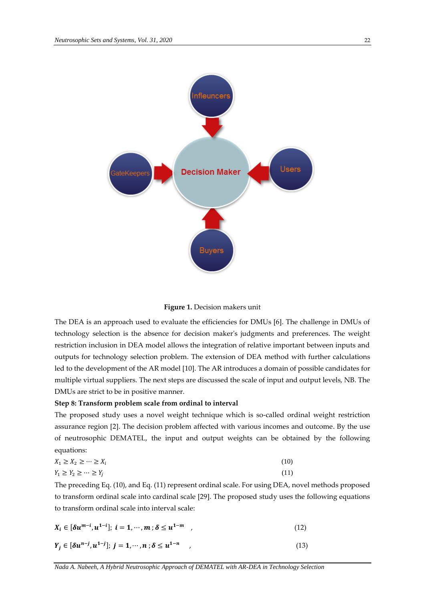



The DEA is an approach used to evaluate the efficiencies for DMUs [6]. The challenge in DMUs of technology selection is the absence for decision maker's judgments and preferences. The weight restriction inclusion in DEA model allows the integration of relative important between inputs and outputs for technology selection problem. The extension of DEA method with further calculations led to the development of the AR model [10]. The AR introduces a domain of possible candidates for multiple virtual suppliers. The next steps are discussed the scale of input and output levels, NB. The DMUs are strict to be in positive manner.

## **Step 8: Transform problem scale from ordinal to interval**

The proposed study uses a novel weight technique which is so-called ordinal weight restriction assurance region [2]. The decision problem affected with various incomes and outcome. By the use of neutrosophic DEMATEL, the input and output weights can be obtained by the following equations:

| $X_1 \geq X_2 \geq \cdots \geq X_i$ | (10) |
|-------------------------------------|------|
| $Y_1 \geq Y_2 \geq \cdots \geq Y_j$ | (11) |

The preceding Eq. (10), and Eq. (11) represent ordinal scale. For using DEA, novel methods proposed to transform ordinal scale into cardinal scale [29]. The proposed study uses the following equations to transform ordinal scale into interval scale:

$$
X_i \in [\delta u^{m-i}, u^{1-i}]; \ i = 1, \cdots, m; \delta \le u^{1-m} \quad , \tag{12}
$$

$$
Y_j \in [\delta u^{n-j}, u^{1-j}]; \ j = 1, \cdots, n; \delta \le u^{1-n} \qquad (13)
$$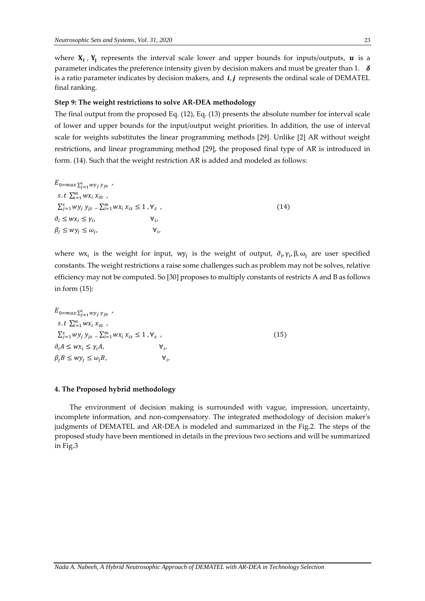where  $X_i$ ,  $Y_j$  represents the interval scale lower and upper bounds for inputs/outputs,  $u$  is a parameter indicates the preference intensity given by decision makers and must be greater than 1.  $\delta$ is a ratio parameter indicates by decision makers, and  $\boldsymbol{i}$ ,  $\boldsymbol{j}$  represents the ordinal scale of DEMATEL final ranking.

#### **Step 9: The weight restrictions to solve AR-DEA methodology**

The final output from the proposed Eq. (12), Eq. (13) presents the absolute number for interval scale of lower and upper bounds for the input/output weight priorities. In addition, the use of interval scale for weights substitutes the linear programming methods [29]. Unlike [2] AR without weight restrictions, and linear programming method [29], the proposed final type of AR is introduced in form. (14). Such that the weight restriction AR is added and modeled as follows:

 $E_{0=max\sum_{j=1}^{S} w y_j y_{j0}}$ s. t  $\sum_{i=1}^{m} wx_i x_{i0}$ ,  $\sum_{j=1}^s wy_j y_{jz} = \sum_{i=1}^m wx_i x_{iz} \leq 1$  ,  $\forall_z$ ,  $(14)$  $\partial_i \leq wx_i \leq \gamma_i,$   $\forall_i$  $\forall$ <sub>i</sub>  $\beta_i \le wy_i \le \omega_i$ ,  $\forall_i$ 

where wx<sub>i</sub> is the weight for input, wy<sub>j</sub> is the weight of output,  $\partial_i$ ,  $\gamma_i$ ,  $\beta$ ,  $\omega_j$  are user specified constants. The weight restrictions a raise some challenges such as problem may not be solves, relative efficiency may not be computed. So [30] proposes to multiply constants of restricts A and B as follows in form (15):

 $E_{0=max\sum_{j=1}^{S} w y_j y_{j0}}$ s. t  $\sum_{i=1}^{m} wx_i x_{i0}$ ,  $\sum_{j=1}^s wy_j y_{jz}$   $\sum_{i=1}^m wx_i x_{iz} \leq 1$  ,  $\forall_z$ ,  $(15)$  $\partial_i A \leq w x_i \leq \gamma_i A$  $\forall_i$  $\beta_i B \leq w y_i \leq \omega_i B$ ,  $\forall$ <sub>i</sub>

#### **4. The Proposed hybrid methodology**

The environment of decision making is surrounded with vague, impression, uncertainty, incomplete information, and non-compensatory. The integrated methodology of decision maker's judgments of DEMATEL and AR-DEA is modeled and summarized in the Fig.2. The steps of the proposed study have been mentioned in details in the previous two sections and will be summarized in Fig.3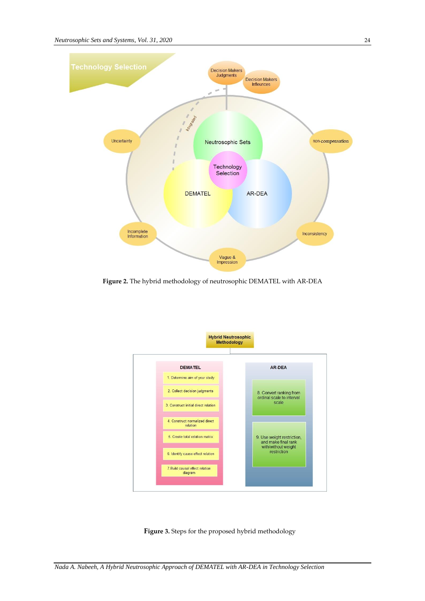

**Figure 2.** The hybrid methodology of neutrosophic DEMATEL with AR-DEA



Figure 3. Steps for the proposed hybrid methodology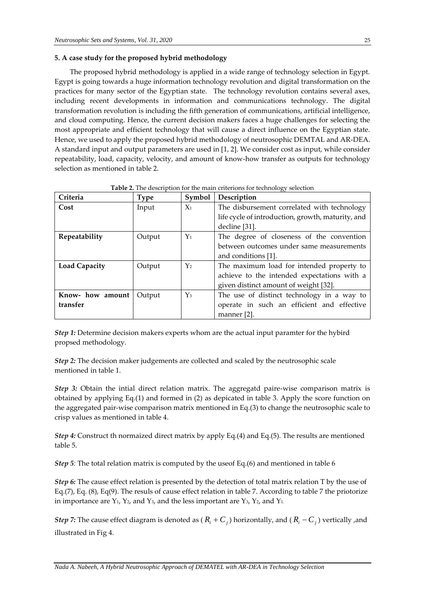## **5. A case study for the proposed hybrid methodology**

The proposed hybrid methodology is applied in a wide range of technology selection in Egypt. Egypt is going towards a huge information technology revolution and digital transformation on the practices for many sector of the Egyptian state. The technology revolution contains several axes, including recent developments in information and communications technology. The digital transformation revolution is including the fifth generation of communications, artificial intelligence, and cloud computing. Hence, the current decision makers faces a huge challenges for selecting the most appropriate and efficient technology that will cause a direct influence on the Egyptian state. Hence, we used to apply the proposed hybrid methodology of neutrosophic DEMTAL and AR-DEA. A standard input and output parameters are used in [1, 2]. We consider cost as input, while consider repeatability, load, capacity, velocity, and amount of know-how transfer as outputs for technology selection as mentioned in table 2.

| Criteria             | Type   | Symbol | Description                                       |  |
|----------------------|--------|--------|---------------------------------------------------|--|
| Cost                 | Input  | $X_1$  | The disbursement correlated with technology       |  |
|                      |        |        | life cycle of introduction, growth, maturity, and |  |
|                      |        |        | decline [31].                                     |  |
| Repeatability        | Output | $Y_1$  | The degree of closeness of the convention         |  |
|                      |        |        | between outcomes under same measurements          |  |
|                      |        |        | and conditions [1].                               |  |
| <b>Load Capacity</b> | Output | $Y_2$  | The maximum load for intended property to         |  |
|                      |        |        | achieve to the intended expectations with a       |  |
|                      |        |        | given distinct amount of weight [32].             |  |
| Know- how amount     | Output | $Y_3$  | The use of distinct technology in a way to        |  |
| transfer             |        |        | operate in such an efficient and effective        |  |
|                      |        |        | manner [2].                                       |  |

|  |  |  | Table 2. The description for the main criterions for technology selection |
|--|--|--|---------------------------------------------------------------------------|
|--|--|--|---------------------------------------------------------------------------|

*Step 1:* Determine decision makers experts whom are the actual input paramter for the hybird propsed methodology.

*Step 2:* The decision maker judgements are collected and scaled by the neutrosophic scale mentioned in table 1.

*Step 3:* Obtain the intial direct relation matrix. The aggregatd paire-wise comparison matrix is obtained by applying Eq.(1) and formed in (2) as depicated in table 3. Apply the score function on the aggregated pair-wise comparison matrix mentioned in Eq.(3) to change the neutrosophic scale to crisp values as mentioned in table 4.

*Step 4:* Construct th normaized direct matrix by apply Eq.(4) and Eq.(5). The results are mentioned table 5.

*Step 5:* The total relation matrix is computed by the useof Eq.(6) and mentioned in table 6

*Step 6:* The cause effect relation is presented by the detection of total matrix relation T by the use of Eq.(7), Eq. (8), Eq(9). The resuls of cause effect relation in table 7. According to table 7 the priotorize in importance are  $Y_1$ ,  $Y_2$ , and  $Y_3$ , and the less important are  $Y_3$ ,  $Y_2$ , and  $Y_1$ .

*Step 7:* The cause effect diagram is denoted as ( $R$ <sup>*i*</sup> +  $C$ <sub>*j*</sub>) horizontally, and ( $R$ <sup>*i*</sup> -  $C$ <sub>*j*</sub>) vertically ,and illustrated in Fig 4.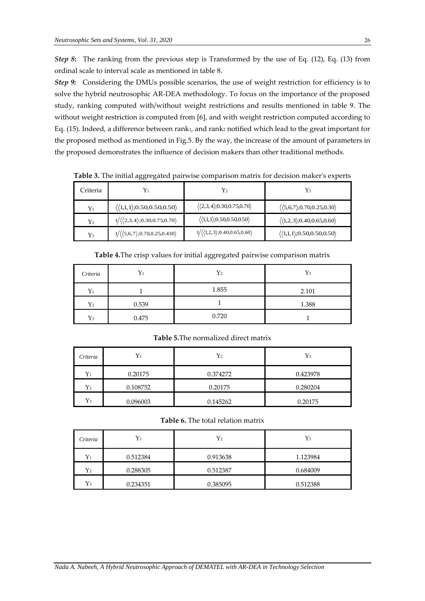*Step 8***:** The ranking from the previous step is Transformed by the use of Eq. (12), Eq. (13) from ordinal scale to interval scale as mentioned in table 8.

**Step 9:** Considering the DMUs possible scenarios, the use of weight restriction for efficiency is to solve the hybrid neutrosophic AR-DEA methodology. To focus on the importance of the proposed study, ranking computed with/without weight restrictions and results mentioned in table 9. The without weight restriction is computed from [6], and with weight restriction computed according to Eq. (15). Indeed, a difference between rank<sub>1</sub>, and rank<sub>2</sub> notified which lead to the great important for the proposed method as mentioned in Fig.5. By the way, the increase of the amount of parameters in the proposed demonstrates the influence of decision makers than other traditional methods.

| Criteria |                                                             |                                                             |                                                             |
|----------|-------------------------------------------------------------|-------------------------------------------------------------|-------------------------------------------------------------|
| $Y_1$    | $\langle \langle 1,1,1 \rangle ; 0.50, 0.50, 0.50 \rangle$  | $\langle \langle 2,3,4 \rangle ; 0.30, 0.75, 0.70 \rangle$  | $\langle \langle 5, 6, 7 \rangle; 0.70, 0.25, 0.30 \rangle$ |
| $Y_2$    | $1/\langle\langle 2,3,4\rangle; 0.30, 0.75, 0.70\rangle$    | $\langle (1,1,1); 0.50, 0.50, 0.50 \rangle$                 | $\langle (1,2,3); 0.40, 0.65, 0.60 \rangle$                 |
| Yз       | $1/\langle\langle 5,6,7 \rangle; 0.70, 0.25, 0.430 \rangle$ | $1/\langle \langle 1,2,3 \rangle; 0.40, 0.65, 0.60 \rangle$ | $\langle \langle 1,1,1 \rangle ; 0.50, 0.50, 0.50 \rangle$  |

**Table 3.** The initial aggregated pairwise comparison matrix for decision maker's experts

**Table 4.**The crisp values for initial aggregated pairwise comparison matrix

| Criteria | Y1    | $Y_2$ | $Y_3$ |
|----------|-------|-------|-------|
| $Y_1$    |       | 1.855 | 2.101 |
| $Y_2$    | 0.539 |       | 1.388 |
| $Y_3$    | 0.475 | 0.720 |       |

**Table 5.**The normalized direct matrix

| Criteria | Y1       | $Y_2$    | Y3       |
|----------|----------|----------|----------|
| $Y_1$    | 0.20175  | 0.374272 | 0.423978 |
| $Y_2$    | 0.108752 | 0.20175  | 0.280204 |
| $Y_3$    | 0.096003 | 0.145262 | 0.20175  |

**Table 6.** The total relation matrix

| Criteria    |          | ${\rm Y_2}$ | $Y_3$    |
|-------------|----------|-------------|----------|
| ${\rm Y_1}$ | 0.512384 | 0.913638    | 1.123984 |
| $\rm Y_2$   | 0.288305 | 0.512387    | 0.684009 |
| ${\rm Y_3}$ | 0.234351 | 0.385095    | 0.512388 |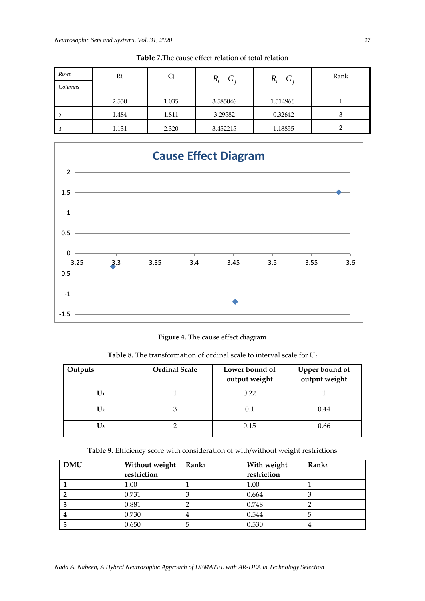| Rows<br>Columns | Ri    |       | $R_i + C_i$ | $R_i - C_i$ | Rank |
|-----------------|-------|-------|-------------|-------------|------|
|                 | 2.550 | 1.035 | 3.585046    | 1.514966    |      |
|                 | 1.484 | 1.811 | 3.29582     | $-0.32642$  | 3    |
| -3              | 1.131 | 2.320 | 3.452215    | $-1.18855$  |      |

**Table 7.**The cause effect relation of total relation



# **Figure 4.** The cause effect diagram

**Table 8.** The transformation of ordinal scale to interval scale for U<sup>r</sup>

| Outputs        | <b>Ordinal Scale</b> | Lower bound of<br>output weight | Upper bound of<br>output weight |
|----------------|----------------------|---------------------------------|---------------------------------|
| $\mathbf{U}_1$ |                      | 0.22                            |                                 |
| $\mathbf{U}_2$ |                      | 0.1                             | 0.44                            |
| $U_3$          |                      | 0.15                            | 0.66                            |

|  | Table 9. Efficiency score with consideration of with/without weight restrictions |  |  |
|--|----------------------------------------------------------------------------------|--|--|
|  |                                                                                  |  |  |

| <b>DMU</b> | Without weight<br>restriction | Rank <sub>1</sub> | With weight<br>restriction | Rank <sub>2</sub> |
|------------|-------------------------------|-------------------|----------------------------|-------------------|
|            | 1.00                          |                   | 1.00                       |                   |
|            | 0.731                         | C                 | 0.664                      |                   |
|            | 0.881                         |                   | 0.748                      |                   |
|            | 0.730                         | 4                 | 0.544                      |                   |
|            | 0.650                         | 5                 | 0.530                      |                   |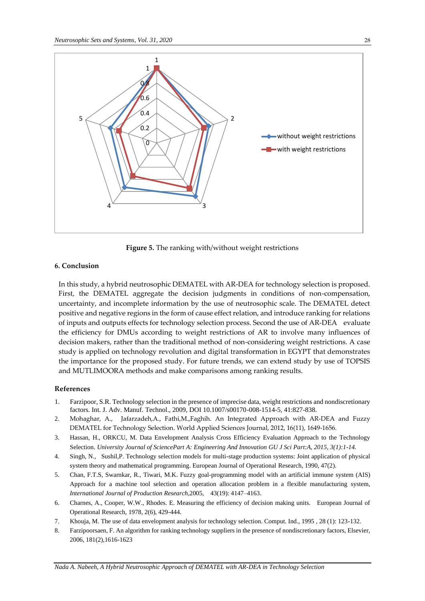

**Figure 5.** The ranking with/without weight restrictions

#### **6. Conclusion**

In this study, a hybrid neutrosophic DEMATEL with AR-DEA for technology selection is proposed. First, the DEMATEL aggregate the decision judgments in conditions of non-compensation, uncertainty, and incomplete information by the use of neutrosophic scale. The DEMATEL detect positive and negative regions in the form of cause effect relation, and introduce ranking for relations of inputs and outputs effects for technology selection process. Second the use of AR-DEA evaluate the efficiency for DMUs according to weight restrictions of AR to involve many influences of decision makers, rather than the traditional method of non-considering weight restrictions. A case study is applied on technology revolution and digital transformation in EGYPT that demonstrates the importance for the proposed study. For future trends, we can extend study by use of TOPSIS and MUTLIMOORA methods and make comparisons among ranking results.

## **References**

- 1. Farzipoor, S.R. Technology selection in the presence of imprecise data, weight restrictions and nondiscretionary factors. Int. J. Adv. Manuf. Technol., 2009, DOI 10.1007/s00170-008-1514-5, 41:827-838.
- 2. Mohaghar, A., Jafarzadeh,A., Fathi,M.,Faghih. An Integrated Approach with AR-DEA and Fuzzy DEMATEL for Technology Selection. World Applied Sciences Journal, 2012, 16(11), 1649-1656.
- 3. Hassan, H., ORKCU, M. Data Envelopment Analysis Cross Efficiency Evaluation Approach to the Technology Selection. *University Journal of SciencePart A: Engineering And Innovation GU J Sci Part:A, 2015, 3(1):1-14.*
- 4. Singh, N., Sushil,P. Technology selection models for multi-stage production systems: Joint application of physical system theory and mathematical programming. European Journal of Operational Research, 1990, 47(2).
- 5. Chan, F.T.S, Swarnkar, R., Tiwari, M.K. Fuzzy goal-programming model with an artificial immune system (AIS) Approach for a machine tool selection and operation allocation problem in a flexible manufacturing system, *International Journal of Production Research*,2005, 43(19): 4147–4163.
- 6. Charnes, A., Cooper, W.W., Rhodes. E. Measuring the efficiency of decision making units. European Journal of Operational Research, 1978, 2(6), 429-444.
- 7. Khouja, M. The use of data envelopment analysis for technology selection. Comput. Ind., 1995 , 28 (1): 123-132.
- 8. Farzipoorsaen, F. An algorithm for ranking technology suppliers in the presence of nondiscretionary factors, Elsevier, 2006[, 181\(2\)](https://www.sciencedirect.com/science/journal/00963003/181/2),1616-1623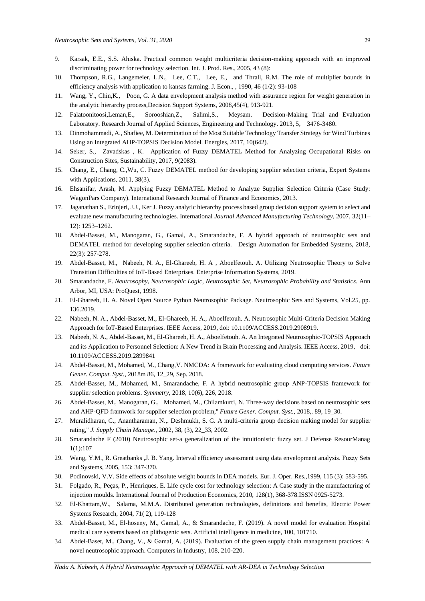- 9. Karsak, E.E., S.S. Ahiska. Practical common weight multicriteria decision-making approach with an improved discriminating power for technology selection. Int. J. Prod. Res., 2005, 43 (8):
- 10. Thompson, R.G., Langemeier, L.N., Lee, C.T., Lee, E., and Thrall, R.M. The role of multiplier bounds in efficiency analysis with application to kansas farming. J. Econ., , 1990, 46 (1/2): 93-108
- 11. Wang, Y., Chin,K., Poon, G. A data envelopment analysis method with assurance region for weight generation in the analytic hierarchy process,Decision Support Systems, 2008,45(4), 913-921.
- 12. Falatoonitoosi,Leman,E., Sorooshian,Z., Salimi,S., Meysam. Decision-Making Trial and Evaluation Laboratory. Research Journal of Applied Sciences, Engineering and Technology. 2013, 5, 3476-3480.
- 13. Dinmohammadi, A., Shafiee, M. Determination of the Most Suitable Technology Transfer Strategy for Wind Turbines Using an Integrated AHP-TOPSIS Decision Model. Energies, 2017, 10(642).
- 14. Seker, S., Zavadskas , K. Application of Fuzzy DEMATEL Method for Analyzing Occupational Risks on Construction Sites, Sustainability, 2017, 9(2083).
- 15. Chang, E., Chang, C.,Wu, C. Fuzzy DEMATEL method for developing supplier selection criteria, Expert Systems with Applications, 2011, 38(3).
- 16. Ehsanifar, Arash, M. Applying Fuzzy DEMATEL Method to Analyze Supplier Selection Criteria (Case Study: WagonPars Company). International Research Journal of Finance and Economics, 2013.
- 17. Jaganathan S., Erinjeri, J.J., Ker J. Fuzzy analytic hierarchy process based group decision support system to select and evaluate new manufacturing technologies. International *Journal Advanced Manufacturing Technology*, 2007, 32(11– 12): 1253–1262.
- 18. Abdel-Basset, M., Manogaran, G., Gamal, A., Smarandache, F. A hybrid approach of neutrosophic sets and DEMATEL method for developing supplier selection criteria. Design Automation for Embedded Systems, 2018, 22(3): 257-278.
- 19. Abdel-Basset, M., Nabeeh, N. A., El-Ghareeb, H. A , Aboelfetouh. A. Utilizing Neutrosophic Theory to Solve Transition Difficulties of IoT-Based Enterprises. Enterprise Information Systems, 2019.
- 20. Smarandache, F. *Neutrosophy, Neutrosophic Logic, Neutrosophic Set, Neutrosophic Probability and Statistics*. Ann Arbor, MI, USA: ProQuest, 1998.
- 21. El-Ghareeb, H. A. Novel Open Source Python Neutrosophic Package. Neutrosophic Sets and Systems, Vol.25, pp. 136.2019.
- 22. Nabeeh, N. A., Abdel-Basset, M., El-Ghareeb, H. A., Aboelfetouh. A. Neutrosophic Multi-Criteria Decision Making Approach for IoT-Based Enterprises. IEEE Access, 2019, doi: 10.1109/ACCESS.2019.2908919.
- 23. Nabeeh, N. A., Abdel-Basset, M., El-Ghareeb, H. A., Aboelfetouh. A. An Integrated Neutrosophic-TOPSIS Approach and its Application to Personnel Selection: A New Trend in Brain Processing and Analysis. IEEE Access, 2019, doi: 10.1109/ACCESS.2019.2899841
- 24. Abdel-Basset, M., Mohamed, M., Chang,V. NMCDA: A framework for evaluating cloud computing services. *Future Gener. Comput. Syst.*, 2018m 86, 12\_29, Sep. 2018.
- 25. Abdel-Basset, M., Mohamed, M., Smarandache, F. A hybrid neutrosophic group ANP-TOPSIS framework for supplier selection problems. *Symmetry*, 2018, 10(6), 226, 2018.
- 26. Abdel-Basset, M., Manogaran, G., Mohamed, M., Chilamkurti, N. Three-way decisions based on neutrosophic sets and AHP-QFD framwork for supplier selection problem,'' *Future Gener. Comput. Syst.*, 2018,. 89, 19\_30.
- 27. Muralidharan, C., Anantharaman, N.,. Deshmukh, S. G. A multi-criteria group decision making model for supplier rating,'' *J. Supply Chain Manage*., 2002, 38, (3), 22\_33, 2002.
- 28. Smarandache F (2010) Neutrosophic set-a generalization of the intuitionistic fuzzy set. J Defense ResourManag 1(1):107
- 29. Wang, Y.M., R. Greatbanks ,J. B. Yang. Interval efficiency assessment using data envelopment analysis. Fuzzy Sets and Systems, 2005, 153: 347-370.
- 30. Podinovski, V.V. Side effects of absolute weight bounds in DEA models. Eur. J. Oper. Res.,1999, 115 (3): 583-595.
- 31. Folgado, R., Peças, P., Henriques, E. Life cycle cost for technology selection: A Case study in the manufacturing of injection moulds. International Journal of Production Economics, 2010, 128(1), 368-378.ISSN 0925-5273.
- 32. El-Khattam,W., Salama, M.M.A. Distributed generation technologies, definitions and benefits, Electric Power Systems Research, 2004, 71( 2), 119-128
- 33. Abdel-Basset, M., El-hoseny, M., Gamal, A., & Smarandache, F. (2019). A novel model for evaluation Hospital medical care systems based on plithogenic sets. Artificial intelligence in medicine, 100, 101710.
- 34. Abdel-Baset, M., Chang, V., & Gamal, A. (2019). Evaluation of the green supply chain management practices: A novel neutrosophic approach. Computers in Industry, 108, 210-220.